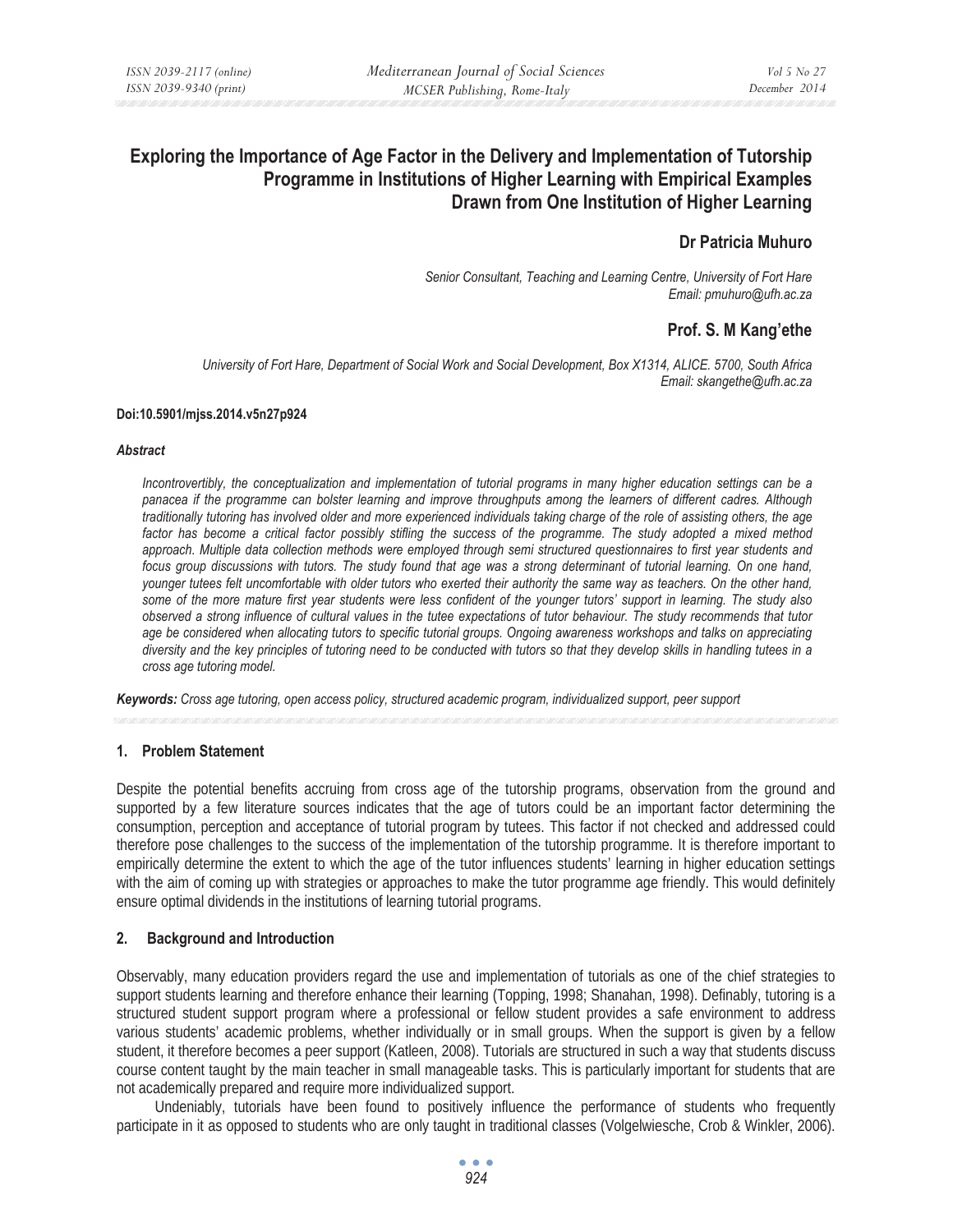# **Exploring the Importance of Age Factor in the Delivery and Implementation of Tutorship Programme in Institutions of Higher Learning with Empirical Examples Drawn from One Institution of Higher Learning**

# **Dr Patricia Muhuro**

*Senior Consultant, Teaching and Learning Centre, University of Fort Hare Email: pmuhuro@ufh.ac.za* 

# **Prof. S. M Kang'ethe**

*University of Fort Hare, Department of Social Work and Social Development, Box X1314, ALICE. 5700, South Africa Email: skangethe@ufh.ac.za* 

#### **Doi:10.5901/mjss.2014.v5n27p924**

#### *Abstract*

*Incontrovertibly, the conceptualization and implementation of tutorial programs in many higher education settings can be a panacea if the programme can bolster learning and improve throughputs among the learners of different cadres. Although traditionally tutoring has involved older and more experienced individuals taking charge of the role of assisting others, the age*  factor has become a critical factor possibly stifling the success of the programme. The study adopted a mixed method *approach. Multiple data collection methods were employed through semi structured questionnaires to first year students and focus group discussions with tutors. The study found that age was a strong determinant of tutorial learning. On one hand, younger tutees felt uncomfortable with older tutors who exerted their authority the same way as teachers. On the other hand, some of the more mature first year students were less confident of the younger tutors' support in learning. The study also observed a strong influence of cultural values in the tutee expectations of tutor behaviour. The study recommends that tutor*  age be considered when allocating tutors to specific tutorial groups. Ongoing awareness workshops and talks on appreciating *diversity and the key principles of tutoring need to be conducted with tutors so that they develop skills in handling tutees in a cross age tutoring model.* 

*Keywords: Cross age tutoring, open access policy, structured academic program, individualized support, peer support* 

#### **1. Problem Statement**

Despite the potential benefits accruing from cross age of the tutorship programs, observation from the ground and supported by a few literature sources indicates that the age of tutors could be an important factor determining the consumption, perception and acceptance of tutorial program by tutees. This factor if not checked and addressed could therefore pose challenges to the success of the implementation of the tutorship programme. It is therefore important to empirically determine the extent to which the age of the tutor influences students' learning in higher education settings with the aim of coming up with strategies or approaches to make the tutor programme age friendly. This would definitely ensure optimal dividends in the institutions of learning tutorial programs.

### **2. Background and Introduction**

Observably, many education providers regard the use and implementation of tutorials as one of the chief strategies to support students learning and therefore enhance their learning (Topping, 1998; Shanahan, 1998). Definably, tutoring is a structured student support program where a professional or fellow student provides a safe environment to address various students' academic problems, whether individually or in small groups. When the support is given by a fellow student, it therefore becomes a peer support (Katleen, 2008). Tutorials are structured in such a way that students discuss course content taught by the main teacher in small manageable tasks. This is particularly important for students that are not academically prepared and require more individualized support.

Undeniably, tutorials have been found to positively influence the performance of students who frequently participate in it as opposed to students who are only taught in traditional classes (Volgelwiesche, Crob & Winkler, 2006).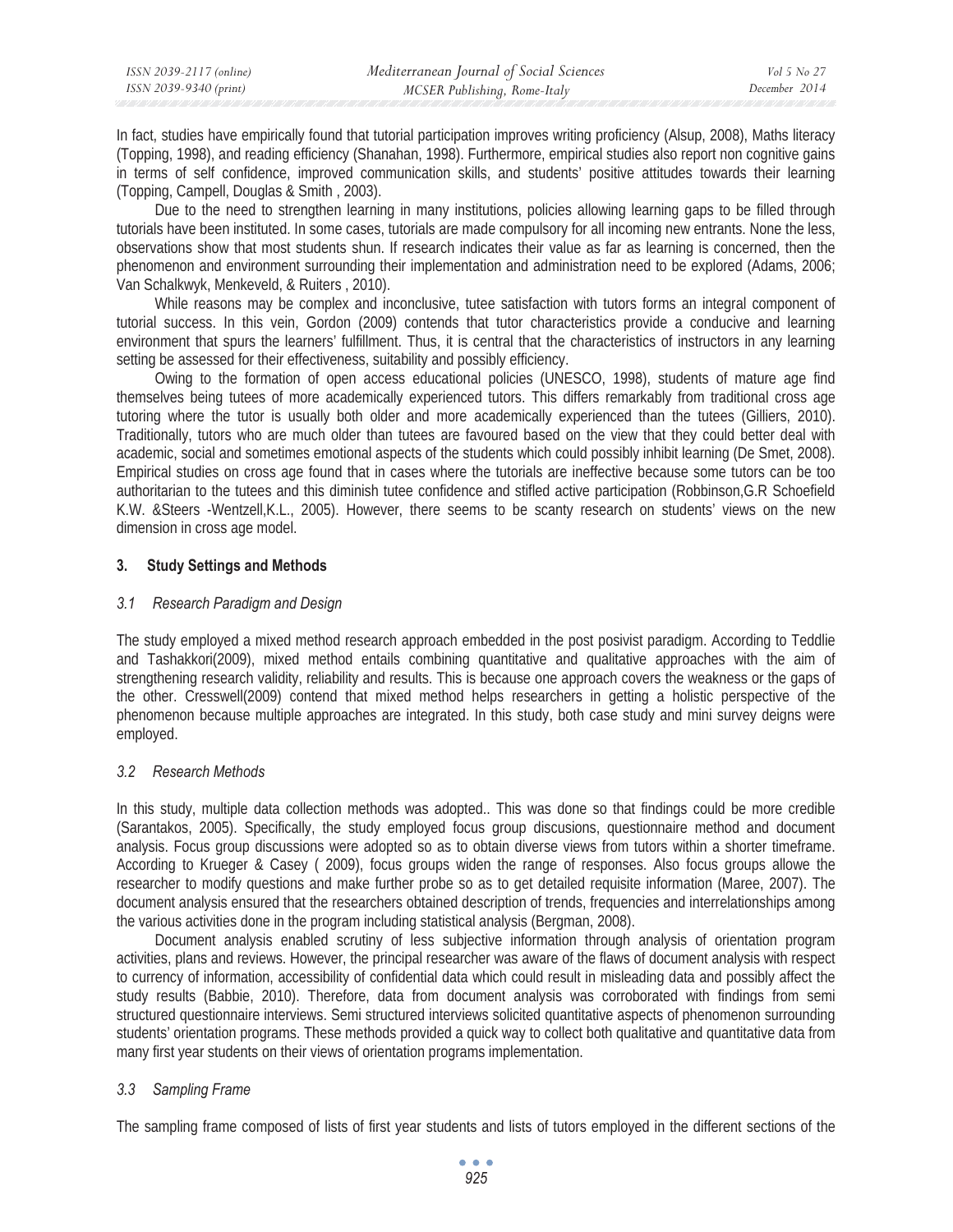| ISSN 2039-2117 (online) | Mediterranean Journal of Social Sciences | Vol 5 No 27   |
|-------------------------|------------------------------------------|---------------|
| ISSN 2039-9340 (print)  | MCSER Publishing, Rome-Italy             | December 2014 |

In fact, studies have empirically found that tutorial participation improves writing proficiency (Alsup, 2008), Maths literacy (Topping, 1998), and reading efficiency (Shanahan, 1998). Furthermore, empirical studies also report non cognitive gains in terms of self confidence, improved communication skills, and students' positive attitudes towards their learning (Topping, Campell, Douglas & Smith , 2003).

Due to the need to strengthen learning in many institutions, policies allowing learning gaps to be filled through tutorials have been instituted. In some cases, tutorials are made compulsory for all incoming new entrants. None the less, observations show that most students shun. If research indicates their value as far as learning is concerned, then the phenomenon and environment surrounding their implementation and administration need to be explored (Adams, 2006; Van Schalkwyk, Menkeveld, & Ruiters , 2010).

While reasons may be complex and inconclusive, tutee satisfaction with tutors forms an integral component of tutorial success. In this vein, Gordon (2009) contends that tutor characteristics provide a conducive and learning environment that spurs the learners' fulfillment. Thus, it is central that the characteristics of instructors in any learning setting be assessed for their effectiveness, suitability and possibly efficiency.

Owing to the formation of open access educational policies (UNESCO, 1998), students of mature age find themselves being tutees of more academically experienced tutors. This differs remarkably from traditional cross age tutoring where the tutor is usually both older and more academically experienced than the tutees (Gilliers, 2010). Traditionally, tutors who are much older than tutees are favoured based on the view that they could better deal with academic, social and sometimes emotional aspects of the students which could possibly inhibit learning (De Smet, 2008). Empirical studies on cross age found that in cases where the tutorials are ineffective because some tutors can be too authoritarian to the tutees and this diminish tutee confidence and stifled active participation (Robbinson,G.R Schoefield K.W. &Steers -Wentzell,K.L., 2005). However, there seems to be scanty research on students' views on the new dimension in cross age model.

## **3. Study Settings and Methods**

## *3.1 Research Paradigm and Design*

The study employed a mixed method research approach embedded in the post posivist paradigm. According to Teddlie and Tashakkori(2009), mixed method entails combining quantitative and qualitative approaches with the aim of strengthening research validity, reliability and results. This is because one approach covers the weakness or the gaps of the other. Cresswell(2009) contend that mixed method helps researchers in getting a holistic perspective of the phenomenon because multiple approaches are integrated. In this study, both case study and mini survey deigns were employed.

# *3.2 Research Methods*

In this study, multiple data collection methods was adopted.. This was done so that findings could be more credible (Sarantakos, 2005). Specifically, the study employed focus group discusions, questionnaire method and document analysis. Focus group discussions were adopted so as to obtain diverse views from tutors within a shorter timeframe. According to Krueger & Casey ( 2009), focus groups widen the range of responses. Also focus groups allowe the researcher to modify questions and make further probe so as to get detailed requisite information (Maree, 2007). The document analysis ensured that the researchers obtained description of trends, frequencies and interrelationships among the various activities done in the program including statistical analysis (Bergman, 2008).

Document analysis enabled scrutiny of less subjective information through analysis of orientation program activities, plans and reviews. However, the principal researcher was aware of the flaws of document analysis with respect to currency of information, accessibility of confidential data which could result in misleading data and possibly affect the study results (Babbie, 2010). Therefore, data from document analysis was corroborated with findings from semi structured questionnaire interviews. Semi structured interviews solicited quantitative aspects of phenomenon surrounding students' orientation programs. These methods provided a quick way to collect both qualitative and quantitative data from many first year students on their views of orientation programs implementation.

# *3.3 Sampling Frame*

The sampling frame composed of lists of first year students and lists of tutors employed in the different sections of the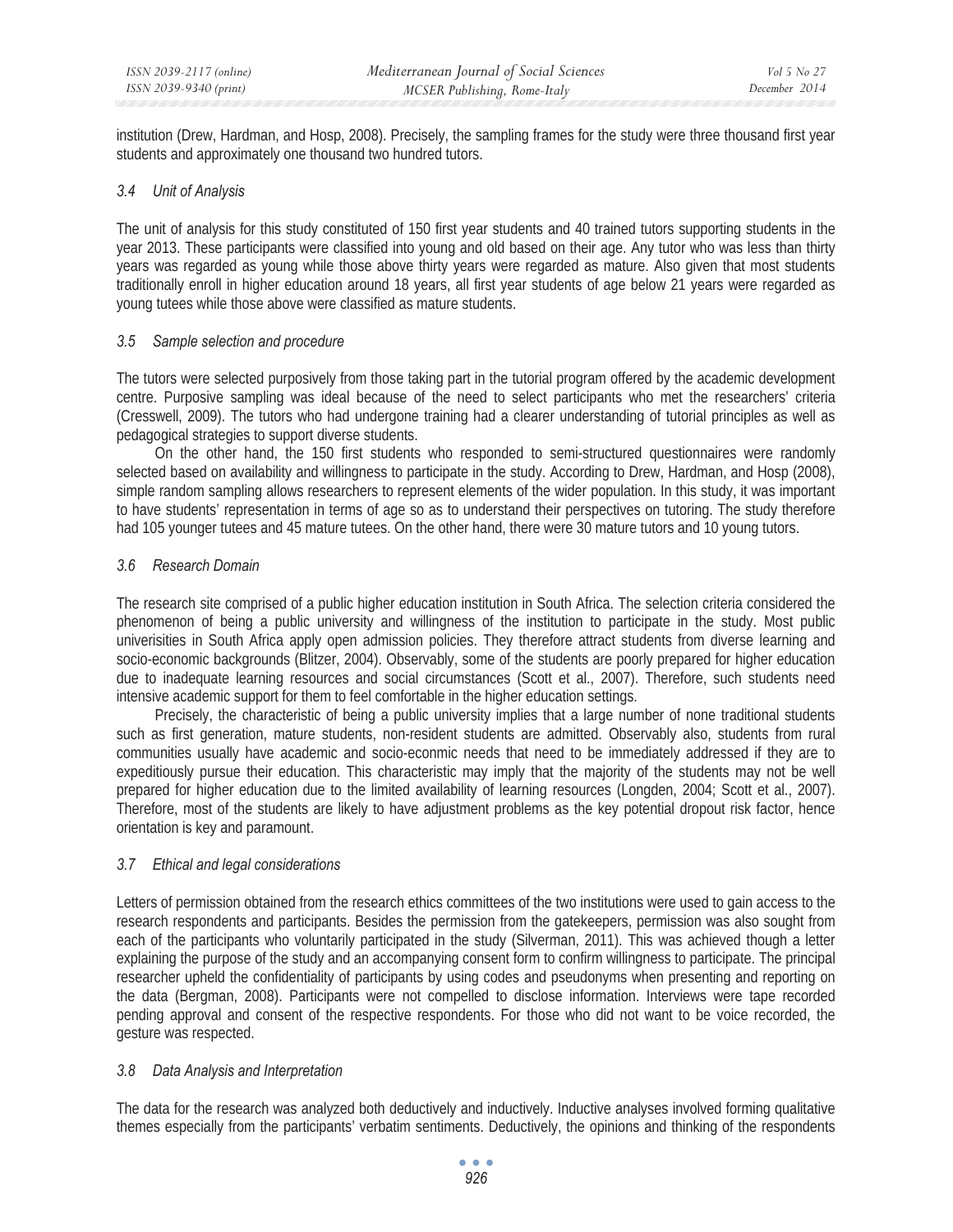institution (Drew, Hardman, and Hosp, 2008). Precisely, the sampling frames for the study were three thousand first year students and approximately one thousand two hundred tutors.

### *3.4 Unit of Analysis*

The unit of analysis for this study constituted of 150 first year students and 40 trained tutors supporting students in the year 2013. These participants were classified into young and old based on their age. Any tutor who was less than thirty years was regarded as young while those above thirty years were regarded as mature. Also given that most students traditionally enroll in higher education around 18 years, all first year students of age below 21 years were regarded as young tutees while those above were classified as mature students.

### *3.5 Sample selection and procedure*

The tutors were selected purposively from those taking part in the tutorial program offered by the academic development centre. Purposive sampling was ideal because of the need to select participants who met the researchers' criteria (Cresswell, 2009). The tutors who had undergone training had a clearer understanding of tutorial principles as well as pedagogical strategies to support diverse students.

On the other hand, the 150 first students who responded to semi-structured questionnaires were randomly selected based on availability and willingness to participate in the study. According to Drew, Hardman, and Hosp (2008), simple random sampling allows researchers to represent elements of the wider population. In this study, it was important to have students' representation in terms of age so as to understand their perspectives on tutoring. The study therefore had 105 younger tutees and 45 mature tutees. On the other hand, there were 30 mature tutors and 10 young tutors.

# *3.6 Research Domain*

The research site comprised of a public higher education institution in South Africa. The selection criteria considered the phenomenon of being a public university and willingness of the institution to participate in the study. Most public univerisities in South Africa apply open admission policies. They therefore attract students from diverse learning and socio-economic backgrounds (Blitzer, 2004). Observably, some of the students are poorly prepared for higher education due to inadequate learning resources and social circumstances (Scott et al., 2007). Therefore, such students need intensive academic support for them to feel comfortable in the higher education settings.

Precisely, the characteristic of being a public university implies that a large number of none traditional students such as first generation, mature students, non-resident students are admitted. Observably also, students from rural communities usually have academic and socio-econmic needs that need to be immediately addressed if they are to expeditiously pursue their education. This characteristic may imply that the majority of the students may not be well prepared for higher education due to the limited availability of learning resources (Longden, 2004; Scott et al., 2007). Therefore, most of the students are likely to have adjustment problems as the key potential dropout risk factor, hence orientation is key and paramount.

# *3.7 Ethical and legal considerations*

Letters of permission obtained from the research ethics committees of the two institutions were used to gain access to the research respondents and participants. Besides the permission from the gatekeepers, permission was also sought from each of the participants who voluntarily participated in the study (Silverman, 2011). This was achieved though a letter explaining the purpose of the study and an accompanying consent form to confirm willingness to participate. The principal researcher upheld the confidentiality of participants by using codes and pseudonyms when presenting and reporting on the data (Bergman, 2008). Participants were not compelled to disclose information. Interviews were tape recorded pending approval and consent of the respective respondents. For those who did not want to be voice recorded, the gesture was respected.

# *3.8 Data Analysis and Interpretation*

The data for the research was analyzed both deductively and inductively. Inductive analyses involved forming qualitative themes especially from the participants' verbatim sentiments. Deductively, the opinions and thinking of the respondents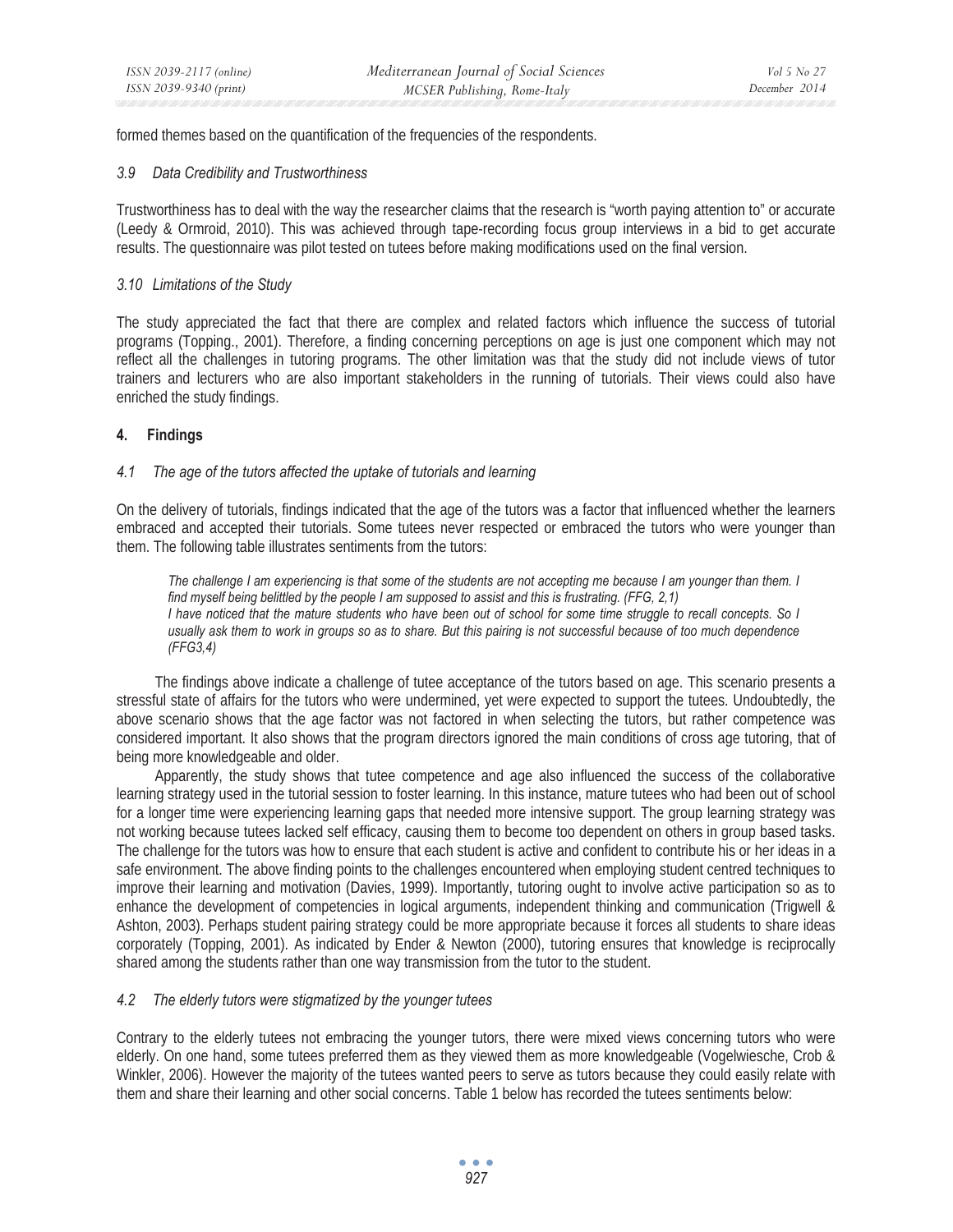formed themes based on the quantification of the frequencies of the respondents.

#### *3.9 Data Credibility and Trustworthiness*

Trustworthiness has to deal with the way the researcher claims that the research is "worth paying attention to" or accurate (Leedy & Ormroid, 2010). This was achieved through tape-recording focus group interviews in a bid to get accurate results. The questionnaire was pilot tested on tutees before making modifications used on the final version.

#### *3.10 Limitations of the Study*

The study appreciated the fact that there are complex and related factors which influence the success of tutorial programs (Topping., 2001). Therefore, a finding concerning perceptions on age is just one component which may not reflect all the challenges in tutoring programs. The other limitation was that the study did not include views of tutor trainers and lecturers who are also important stakeholders in the running of tutorials. Their views could also have enriched the study findings.

### **4. Findings**

#### *4.1 The age of the tutors affected the uptake of tutorials and learning*

On the delivery of tutorials, findings indicated that the age of the tutors was a factor that influenced whether the learners embraced and accepted their tutorials. Some tutees never respected or embraced the tutors who were younger than them. The following table illustrates sentiments from the tutors:

The challenge I am experiencing is that some of the students are not accepting me because I am younger than them. I *find myself being belittled by the people I am supposed to assist and this is frustrating. (FFG, 2,1) I have noticed that the mature students who have been out of school for some time struggle to recall concepts. So I usually ask them to work in groups so as to share. But this pairing is not successful because of too much dependence (FFG3,4)* 

The findings above indicate a challenge of tutee acceptance of the tutors based on age. This scenario presents a stressful state of affairs for the tutors who were undermined, yet were expected to support the tutees. Undoubtedly, the above scenario shows that the age factor was not factored in when selecting the tutors, but rather competence was considered important. It also shows that the program directors ignored the main conditions of cross age tutoring, that of being more knowledgeable and older.

Apparently, the study shows that tutee competence and age also influenced the success of the collaborative learning strategy used in the tutorial session to foster learning. In this instance, mature tutees who had been out of school for a longer time were experiencing learning gaps that needed more intensive support. The group learning strategy was not working because tutees lacked self efficacy, causing them to become too dependent on others in group based tasks. The challenge for the tutors was how to ensure that each student is active and confident to contribute his or her ideas in a safe environment. The above finding points to the challenges encountered when employing student centred techniques to improve their learning and motivation (Davies, 1999). Importantly, tutoring ought to involve active participation so as to enhance the development of competencies in logical arguments, independent thinking and communication (Trigwell & Ashton, 2003). Perhaps student pairing strategy could be more appropriate because it forces all students to share ideas corporately (Topping, 2001). As indicated by Ender & Newton (2000), tutoring ensures that knowledge is reciprocally shared among the students rather than one way transmission from the tutor to the student.

#### *4.2 The elderly tutors were stigmatized by the younger tutees*

Contrary to the elderly tutees not embracing the younger tutors, there were mixed views concerning tutors who were elderly. On one hand, some tutees preferred them as they viewed them as more knowledgeable (Vogelwiesche, Crob & Winkler, 2006). However the majority of the tutees wanted peers to serve as tutors because they could easily relate with them and share their learning and other social concerns. Table 1 below has recorded the tutees sentiments below: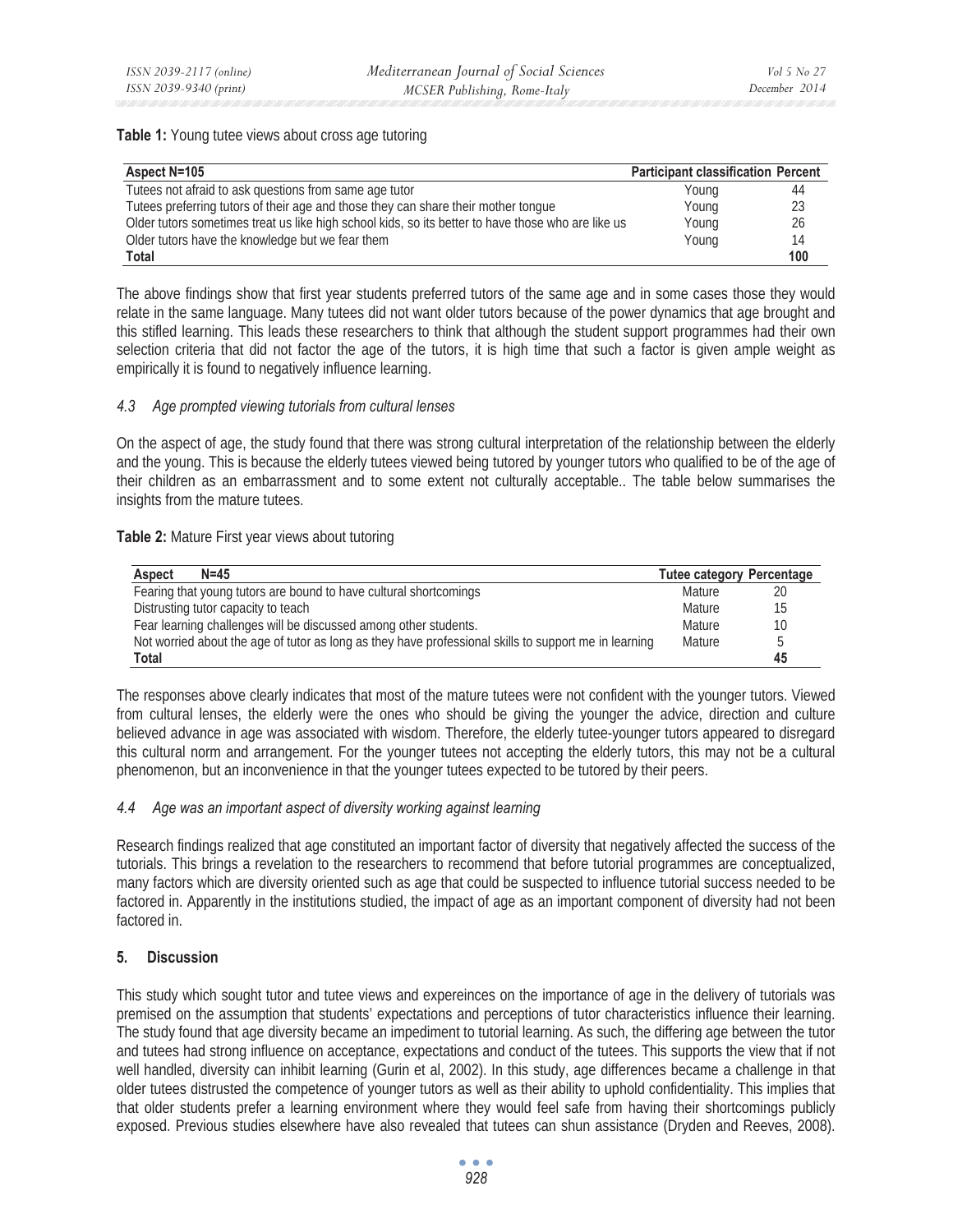#### **Table 1:** Young tutee views about cross age tutoring

| Aspect N=105                                                                                       | <b>Participant classification Percent</b> |     |
|----------------------------------------------------------------------------------------------------|-------------------------------------------|-----|
| Tutees not afraid to ask questions from same age tutor                                             | Young                                     | 44  |
| Tutees preferring tutors of their age and those they can share their mother tongue                 | Young                                     | 23  |
| Older tutors sometimes treat us like high school kids, so its better to have those who are like us | Young                                     | 26  |
| Older tutors have the knowledge but we fear them                                                   | Young                                     | 14  |
| Total                                                                                              |                                           | 100 |

The above findings show that first year students preferred tutors of the same age and in some cases those they would relate in the same language. Many tutees did not want older tutors because of the power dynamics that age brought and this stifled learning. This leads these researchers to think that although the student support programmes had their own selection criteria that did not factor the age of the tutors, it is high time that such a factor is given ample weight as empirically it is found to negatively influence learning.

## *4.3 Age prompted viewing tutorials from cultural lenses*

On the aspect of age, the study found that there was strong cultural interpretation of the relationship between the elderly and the young. This is because the elderly tutees viewed being tutored by younger tutors who qualified to be of the age of their children as an embarrassment and to some extent not culturally acceptable.. The table below summarises the insights from the mature tutees.

### **Table 2:** Mature First year views about tutoring

| $N = 45$<br><b>Aspect</b>                                                                             | <b>Tutee category Percentage</b> |    |
|-------------------------------------------------------------------------------------------------------|----------------------------------|----|
| Fearing that young tutors are bound to have cultural shortcomings                                     | Mature                           | 20 |
| Distrusting tutor capacity to teach                                                                   |                                  | 15 |
| Fear learning challenges will be discussed among other students.                                      |                                  | 10 |
| Not worried about the age of tutor as long as they have professional skills to support me in learning |                                  | b  |
| Total                                                                                                 |                                  | 45 |

The responses above clearly indicates that most of the mature tutees were not confident with the younger tutors. Viewed from cultural lenses, the elderly were the ones who should be giving the younger the advice, direction and culture believed advance in age was associated with wisdom. Therefore, the elderly tutee-younger tutors appeared to disregard this cultural norm and arrangement. For the younger tutees not accepting the elderly tutors, this may not be a cultural phenomenon, but an inconvenience in that the younger tutees expected to be tutored by their peers.

### *4.4 Age was an important aspect of diversity working against learning*

Research findings realized that age constituted an important factor of diversity that negatively affected the success of the tutorials. This brings a revelation to the researchers to recommend that before tutorial programmes are conceptualized, many factors which are diversity oriented such as age that could be suspected to influence tutorial success needed to be factored in. Apparently in the institutions studied, the impact of age as an important component of diversity had not been factored in.

# **5. Discussion**

This study which sought tutor and tutee views and expereinces on the importance of age in the delivery of tutorials was premised on the assumption that students' expectations and perceptions of tutor characteristics influence their learning. The study found that age diversity became an impediment to tutorial learning. As such, the differing age between the tutor and tutees had strong influence on acceptance, expectations and conduct of the tutees. This supports the view that if not well handled, diversity can inhibit learning (Gurin et al, 2002). In this study, age differences became a challenge in that older tutees distrusted the competence of younger tutors as well as their ability to uphold confidentiality. This implies that that older students prefer a learning environment where they would feel safe from having their shortcomings publicly exposed. Previous studies elsewhere have also revealed that tutees can shun assistance (Dryden and Reeves, 2008).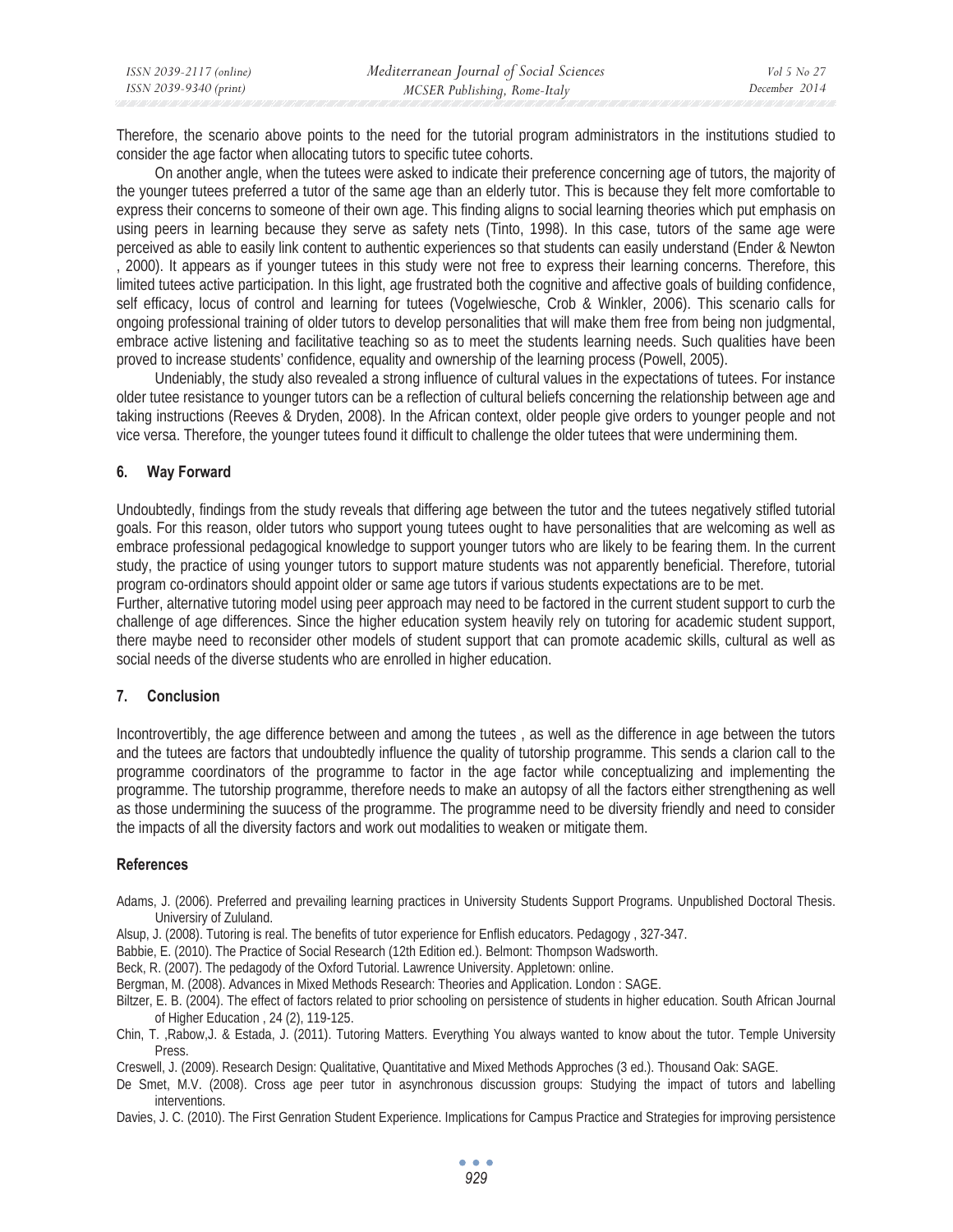| ISSN 2039-2117 (online) | Mediterranean Journal of Social Sciences | Vol 5 No 27   |
|-------------------------|------------------------------------------|---------------|
| ISSN 2039-9340 (print)  | MCSER Publishing, Rome-Italy             | December 2014 |

Therefore, the scenario above points to the need for the tutorial program administrators in the institutions studied to consider the age factor when allocating tutors to specific tutee cohorts.

On another angle, when the tutees were asked to indicate their preference concerning age of tutors, the majority of the younger tutees preferred a tutor of the same age than an elderly tutor. This is because they felt more comfortable to express their concerns to someone of their own age. This finding aligns to social learning theories which put emphasis on using peers in learning because they serve as safety nets (Tinto, 1998). In this case, tutors of the same age were perceived as able to easily link content to authentic experiences so that students can easily understand (Ender & Newton , 2000). It appears as if younger tutees in this study were not free to express their learning concerns. Therefore, this limited tutees active participation. In this light, age frustrated both the cognitive and affective goals of building confidence, self efficacy, locus of control and learning for tutees (Vogelwiesche, Crob & Winkler, 2006). This scenario calls for ongoing professional training of older tutors to develop personalities that will make them free from being non judgmental,

embrace active listening and facilitative teaching so as to meet the students learning needs. Such qualities have been proved to increase students' confidence, equality and ownership of the learning process (Powell, 2005). Undeniably, the study also revealed a strong influence of cultural values in the expectations of tutees. For instance older tutee resistance to younger tutors can be a reflection of cultural beliefs concerning the relationship between age and

taking instructions (Reeves & Dryden, 2008). In the African context, older people give orders to younger people and not vice versa. Therefore, the younger tutees found it difficult to challenge the older tutees that were undermining them.

#### **6. Way Forward**

Undoubtedly, findings from the study reveals that differing age between the tutor and the tutees negatively stifled tutorial goals. For this reason, older tutors who support young tutees ought to have personalities that are welcoming as well as embrace professional pedagogical knowledge to support younger tutors who are likely to be fearing them. In the current study, the practice of using younger tutors to support mature students was not apparently beneficial. Therefore, tutorial program co-ordinators should appoint older or same age tutors if various students expectations are to be met.

Further, alternative tutoring model using peer approach may need to be factored in the current student support to curb the challenge of age differences. Since the higher education system heavily rely on tutoring for academic student support, there maybe need to reconsider other models of student support that can promote academic skills, cultural as well as social needs of the diverse students who are enrolled in higher education.

#### **7. Conclusion**

Incontrovertibly, the age difference between and among the tutees , as well as the difference in age between the tutors and the tutees are factors that undoubtedly influence the quality of tutorship programme. This sends a clarion call to the programme coordinators of the programme to factor in the age factor while conceptualizing and implementing the programme. The tutorship programme, therefore needs to make an autopsy of all the factors either strengthening as well as those undermining the suucess of the programme. The programme need to be diversity friendly and need to consider the impacts of all the diversity factors and work out modalities to weaken or mitigate them.

#### **References**

- Adams, J. (2006). Preferred and prevailing learning practices in University Students Support Programs. Unpublished Doctoral Thesis. Universiry of Zululand.
- Alsup, J. (2008). Tutoring is real. The benefits of tutor experience for Enflish educators. Pedagogy , 327-347.
- Babbie, E. (2010). The Practice of Social Research (12th Edition ed.). Belmont: Thompson Wadsworth.
- Beck, R. (2007). The pedagody of the Oxford Tutorial. Lawrence University. Appletown: online.
- Bergman, M. (2008). Advances in Mixed Methods Research: Theories and Application. London : SAGE.
- Biltzer, E. B. (2004). The effect of factors related to prior schooling on persistence of students in higher education. South African Journal of Higher Education , 24 (2), 119-125.
- Chin, T. ,Rabow,J. & Estada, J. (2011). Tutoring Matters. Everything You always wanted to know about the tutor. Temple University Press.
- Creswell, J. (2009). Research Design: Qualitative, Quantitative and Mixed Methods Approches (3 ed.). Thousand Oak: SAGE.
- De Smet, M.V. (2008). Cross age peer tutor in asynchronous discussion groups: Studying the impact of tutors and labelling interventions.
- Davies, J. C. (2010). The First Genration Student Experience. Implications for Campus Practice and Strategies for improving persistence